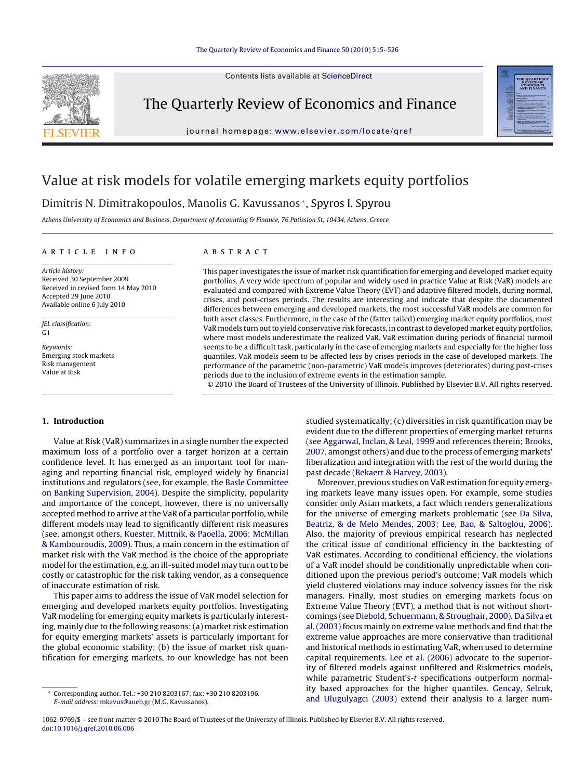#### [The Quarterly Review of Economics and Finance](dx.doi.org/10.1016/j.qref.2010.06.006) 50 (2010) 515–526

Contents lists available at [ScienceDirect](http://www.sciencedirect.com/science/journal/10629769)



The Quarterly Review of Economics and Finance

journal homepage: [www.elsevier.com/locate/qref](http://www.elsevier.com/locate/qref)



## Value at risk models for volatile emerging markets equity portfolios

### Dimitris N. Dimitrakopoulos, Manolis G. Kavussanos <sup>∗</sup>, Spyros I. Spyrou

Athens University of Economics and Business, Department of Accounting & Finance, 76 Patission St, 10434, Athens, Greece

#### article info

Article history: Received 30 September 2009 Received in revised form 14 May 2010 Accepted 29 June 2010 Available online 6 July 2010

JEL classification: G1

Keywords: Emerging stock markets Risk management Value at Risk

**1. Introduction**

#### **ABSTRACT**

This paper investigates the issue of market risk quantification for emerging and developed market equity portfolios. A very wide spectrum of popular and widely used in practice Value at Risk (VaR) models are evaluated and compared with Extreme Value Theory (EVT) and adaptive filtered models, during normal, crises, and post-crises periods. The results are interesting and indicate that despite the documented differences between emerging and developed markets, the most successful VaR models are common for both asset classes. Furthermore, in the case of the (fatter tailed) emerging market equity portfolios, most VaR models turn out to yield conservative risk forecasts, in contrast to developed market equity portfolios, where most models underestimate the realized VaR. VaR estimation during periods of financial turmoil seems to be a difficult task, particularly in the case of emerging markets and especially for the higher loss quantiles. VaR models seem to be affected less by crises periods in the case of developed markets. The performance of the parametric (non-parametric) VaR models improves (deteriorates) during post-crises periods due to the inclusion of extreme events in the estimation sample.

© 2010 The Board of Trustees of the University of Illinois. Published by Elsevier B.V. All rights reserved.

Value at Risk (VaR) summarizes in a single number the expected maximum loss of a portfolio over a target horizon at a certain confidence level. It has emerged as an important tool for managing and reporting financial risk, employed widely by financial institutions and regulators (see, for example, the [Basle Committee](#page--1-0) [on Banking Supervision, 2004\).](#page--1-0) Despite the simplicity, popularity and importance of the concept, however, there is no universally accepted method to arrive at the VaR of a particular portfolio, while different models may lead to significantly different risk measures (see, amongst others, [Kuester, Mittnik, & Paoella, 2006; McMillan](#page--1-0) [& Kambouroudis, 2009\).](#page--1-0) Thus, a main concern in the estimation of market risk with the VaR method is the choice of the appropriate model for the estimation, e.g. an ill-suited model may turn out to be costly or catastrophic for the risk taking vendor, as a consequence of inaccurate estimation of risk.

This paper aims to address the issue of VaR model selection for emerging and developed markets equity portfolios. Investigating VaR modeling for emerging equity markets is particularly interesting, mainly due to the following reasons: (a) market risk estimation for equity emerging markets' assets is particularly important for the global economic stability; (b) the issue of market risk quantification for emerging markets, to our knowledge has not been

studied systematically; (c) diversities in risk quantification may be evident due to the different properties of emerging market returns (see [Aggarwal, Inclan, & Leal, 1999](#page--1-0) and references therein; [Brooks,](#page--1-0) [2007, a](#page--1-0)mongst others) and due to the process of emerging markets' liberalization and integration with the rest of the world during the past decade ([Bekaert & Harvey, 2003\).](#page--1-0)

Moreover, previous studies on VaR estimation for equity emerging markets leave many issues open. For example, some studies consider only Asian markets, a fact which renders generalizations for the universe of emerging markets problematic (see [Da Silva,](#page--1-0) [Beatriz, & de Melo Mendes, 2003; Lee, Bao, & Saltoglou, 2006\).](#page--1-0) Also, the majority of previous empirical research has neglected the critical issue of conditional efficiency in the backtesting of VaR estimates. According to conditional efficiency, the violations of a VaR model should be conditionally unpredictable when conditioned upon the previous period's outcome; VaR models which yield clustered violations may induce solvency issues for the risk managers. Finally, most studies on emerging markets focus on Extreme Value Theory (EVT), a method that is not without shortcomings (see [Diebold, Schuermann, & Stroughair, 2000\).](#page--1-0) [Da Silva et](#page--1-0) [al. \(2003\)](#page--1-0) focus mainly on extreme value methods and find that the extreme value approaches are more conservative than traditional and historical methods in estimating VaR, when used to determine capital requirements. [Lee et al. \(2006\)](#page--1-0) advocate to the superiority of filtered models against unfiltered and Riskmetrics models, while parametric Student's-t specifications outperform normality based approaches for the higher quantiles. [Gencay, Selcuk,](#page--1-0) [and Ulugulyagci \(2003\)](#page--1-0) extend their analysis to a larger num-

<sup>∗</sup> Corresponding author. Tel.: +30 210 8203167; fax: +30 210 8203196. E-mail address: [mkavus@aueb.gr](mailto:mkavus@aueb.gr) (M.G. Kavussanos).

<sup>1062-9769/\$ –</sup> see front matter © 2010 The Board of Trustees of the University of Illinois. Published by Elsevier B.V. All rights reserved. doi:[10.1016/j.qref.2010.06.006](dx.doi.org/10.1016/j.qref.2010.06.006)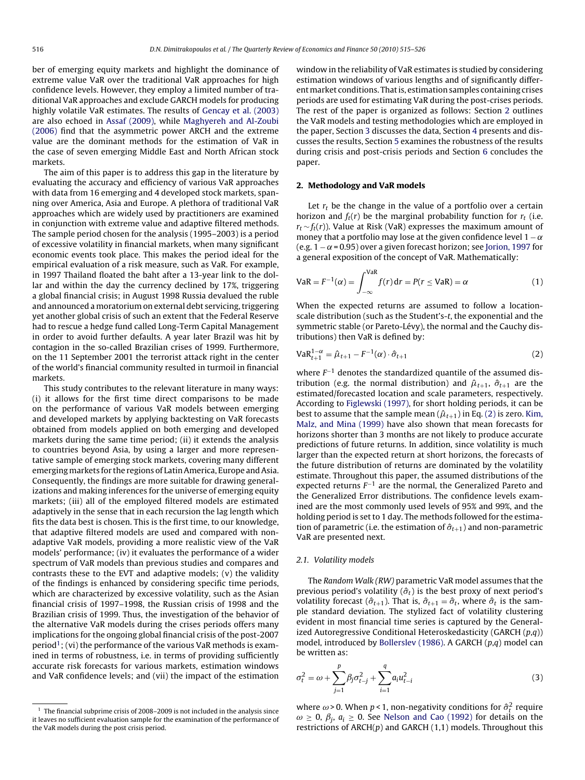ber of emerging equity markets and highlight the dominance of extreme value VaR over the traditional VaR approaches for high confidence levels. However, they employ a limited number of traditional VaR approaches and exclude GARCH models for producing highly volatile VaR estimates. The results of [Gencay et al. \(2003\)](#page--1-0) are also echoed in [Assaf \(2009\),](#page--1-0) while [Maghyereh and Al-Zoubi](#page--1-0) [\(2006\)](#page--1-0) find that the asymmetric power ARCH and the extreme value are the dominant methods for the estimation of VaR in the case of seven emerging Middle East and North African stock markets.

The aim of this paper is to address this gap in the literature by evaluating the accuracy and efficiency of various VaR approaches with data from 16 emerging and 4 developed stock markets, spanning over America, Asia and Europe. A plethora of traditional VaR approaches which are widely used by practitioners are examined in conjunction with extreme value and adaptive filtered methods. The sample period chosen for the analysis (1995–2003) is a period of excessive volatility in financial markets, when many significant economic events took place. This makes the period ideal for the empirical evaluation of a risk measure, such as VaR. For example, in 1997 Thailand floated the baht after a 13-year link to the dollar and within the day the currency declined by 17%, triggering a global financial crisis; in August 1998 Russia devalued the ruble and announced a moratorium on external debt servicing, triggering yet another global crisis of such an extent that the Federal Reserve had to rescue a hedge fund called Long-Term Capital Management in order to avoid further defaults. A year later Brazil was hit by contagion in the so-called Brazilian crises of 1999. Furthermore, on the 11 September 2001 the terrorist attack right in the center of the world's financial community resulted in turmoil in financial markets.

This study contributes to the relevant literature in many ways: (i) it allows for the first time direct comparisons to be made on the performance of various VaR models between emerging and developed markets by applying backtesting on VaR forecasts obtained from models applied on both emerging and developed markets during the same time period; (ii) it extends the analysis to countries beyond Asia, by using a larger and more representative sample of emerging stock markets, covering many different emerging markets for the regions of Latin America, Europe and Asia. Consequently, the findings are more suitable for drawing generalizations and making inferences for the universe of emerging equity markets; (iii) all of the employed filtered models are estimated adaptively in the sense that in each recursion the lag length which fits the data best is chosen. This is the first time, to our knowledge, that adaptive filtered models are used and compared with nonadaptive VaR models, providing a more realistic view of the VaR models' performance; (iv) it evaluates the performance of a wider spectrum of VaR models than previous studies and compares and contrasts these to the EVT and adaptive models; (v) the validity of the findings is enhanced by considering specific time periods, which are characterized by excessive volatility, such as the Asian financial crisis of 1997–1998, the Russian crisis of 1998 and the Brazilian crisis of 1999. Thus, the investigation of the behavior of the alternative VaR models during the crises periods offers many implications for the ongoing global financial crisis of the post-2007 period<sup>1</sup>; (vi) the performance of the various VaR methods is examined in terms of robustness, i.e. in terms of providing sufficiently accurate risk forecasts for various markets, estimation windows and VaR confidence levels; and (vii) the impact of the estimation window in the reliability of VaR estimates is studied by considering estimation windows of various lengths and of significantly differentmarket conditions. That is, estimation samples containing crises periods are used for estimating VaR during the post-crises periods. The rest of the paper is organized as follows: Section 2 outlines the VaR models and testing methodologies which are employed in the paper, Section [3](#page--1-0) discusses the data, Section [4](#page--1-0) presents and discusses the results, Section [5](#page--1-0) examines the robustness of the results during crisis and post-crisis periods and Section [6](#page--1-0) concludes the paper.

#### **2. Methodology and VaR models**

Let  $r_t$  be the change in the value of a portfolio over a certain horizon and  $f_t(r)$  be the marginal probability function for  $r_t$  (i.e.  $r_t \sim f_t(r)$ ). Value at Risk (VaR) expresses the maximum amount of money that a portfolio may lose at the given confidence level  $1 - \alpha$ (e.g.  $1 - \alpha = 0.95$ ) over a given forecast horizon; see [Jorion, 1997](#page--1-0) for a general exposition of the concept of VaR. Mathematically:

$$
VaR = F^{-1}(\alpha) = \int_{-\infty}^{VaR} f(r) dr = P(r \le VaR) = \alpha
$$
 (1)

When the expected returns are assumed to follow a locationscale distribution (such as the Student's-t, the exponential and the symmetric stable (or Pareto-Lévy), the normal and the Cauchy distributions) then VaR is defined by:

$$
VaR_{t+1}^{1-\alpha} = \hat{\mu}_{t+1} - F^{-1}(\alpha) \cdot \hat{\sigma}_{t+1}
$$
 (2)

where  $F^{-1}$  denotes the standardized quantile of the assumed distribution (e.g. the normal distribution) and  $\hat{\mu}_{t+1}$ ,  $\hat{\sigma}_{t+1}$  are the estimated/forecasted location and scale parameters, respectively. According to [Figlewski \(1997\), f](#page--1-0)or short holding periods, it can be best to assume that the sample mean  $(\hat{\mu}_{t+1})$  in Eq. (2) is zero. [Kim,](#page--1-0) [Malz, and Mina \(1999\)](#page--1-0) have also shown that mean forecasts for horizons shorter than 3 months are not likely to produce accurate predictions of future returns. In addition, since volatility is much larger than the expected return at short horizons, the forecasts of the future distribution of returns are dominated by the volatility estimate. Throughout this paper, the assumed distributions of the expected returns  $F^{-1}$  are the normal, the Generalized Pareto and the Generalized Error distributions. The confidence levels examined are the most commonly used levels of 95% and 99%, and the holding period is set to 1 day. The methods followed for the estimation of parametric (i.e. the estimation of  $\hat{\sigma}_{t+1}$ ) and non-parametric VaR are presented next.

#### 2.1. Volatility models

The Random Walk (RW) parametric VaR model assumes that the previous period's volatility  $(\hat{\sigma}_t)$  is the best proxy of next period's volatility forecast ( $\hat{\sigma}_{t+1}$ ). That is,  $\hat{\sigma}_{t+1} = \hat{\sigma}_t$ , where  $\hat{\sigma}_t$  is the sample standard deviation. The stylized fact of volatility clustering evident in most financial time series is captured by the Generalized Autoregressive Conditional Heteroskedasticity (GARCH  $(p,q)$ ) model, introduced by [Bollerslev \(1986\). A](#page--1-0) GARCH (p,q) model can be written as:

$$
\sigma_t^2 = \omega + \sum_{j=1}^p \beta_j \sigma_{t-j}^2 + \sum_{i=1}^q a_i u_{t-i}^2
$$
\n(3)

where  $\omega$  > 0. When p < 1, non-negativity conditions for  $\hat{\sigma}_t^2$  require  $\omega \ge 0$ ,  $\beta_i$ ,  $a_i \ge 0$ . See [Nelson and Cao \(1992\)](#page--1-0) for details on the restrictions of  $ARCH(p)$  and  $GARCH(1,1)$  models. Throughout this

 $^{\rm 1}$  The financial subprime crisis of 2008–2009 is not included in the analysis since it leaves no sufficient evaluation sample for the examination of the performance of the VaR models during the post crisis period.